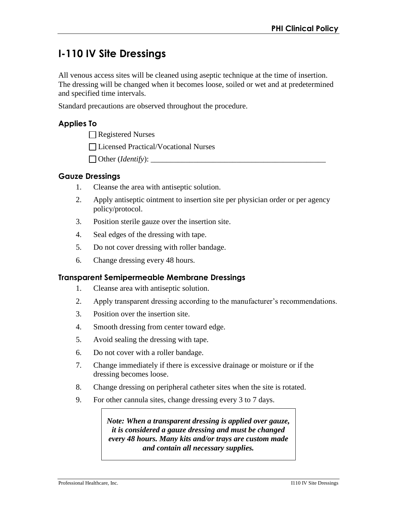# **I-110 IV Site Dressings**

All venous access sites will be cleaned using aseptic technique at the time of insertion. The dressing will be changed when it becomes loose, soiled or wet and at predetermined and specified time intervals.

Standard precautions are observed throughout the procedure.

### **Applies To**

Registered Nurses

Licensed Practical/Vocational Nurses

 $\Box$  Other (*Identify*):

#### **Gauze Dressings**

- 1. Cleanse the area with antiseptic solution.
- 2. Apply antiseptic ointment to insertion site per physician order or per agency policy/protocol.
- 3. Position sterile gauze over the insertion site.
- 4. Seal edges of the dressing with tape.
- 5. Do not cover dressing with roller bandage.
- 6. Change dressing every 48 hours.

#### **Transparent Semipermeable Membrane Dressings**

- 1. Cleanse area with antiseptic solution.
- 2. Apply transparent dressing according to the manufacturer's recommendations.
- 3. Position over the insertion site.
- 4. Smooth dressing from center toward edge.
- 5. Avoid sealing the dressing with tape.
- 6. Do not cover with a roller bandage.
- 7. Change immediately if there is excessive drainage or moisture or if the dressing becomes loose.
- 8. Change dressing on peripheral catheter sites when the site is rotated.
- 9. For other cannula sites, change dressing every 3 to 7 days.

*Note: When a transparent dressing is applied over gauze, it is considered a gauze dressing and must be changed every 48 hours. Many kits and/or trays are custom made and contain all necessary supplies.*